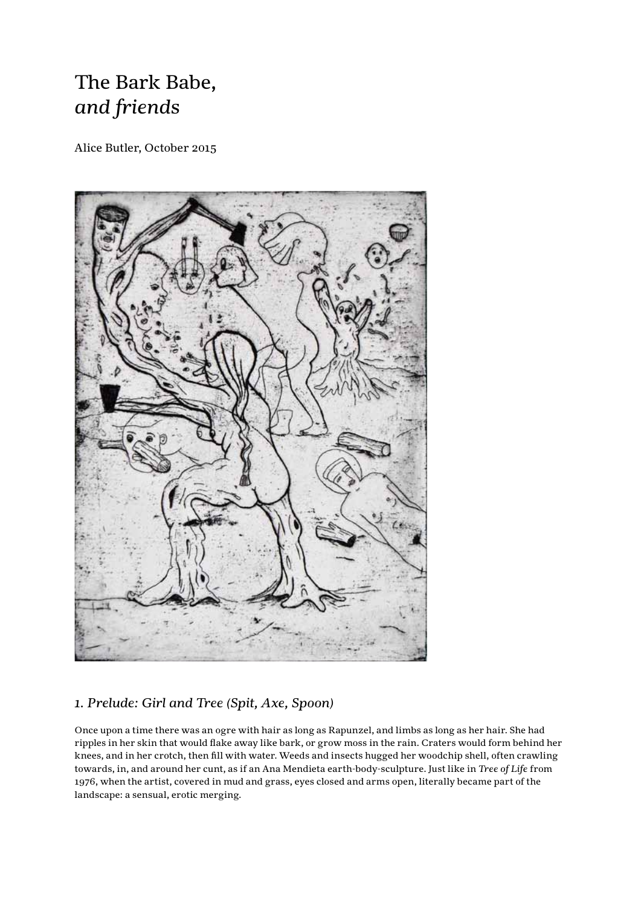# The Bark Babe, *and friends*

Alice Butler, October 2015



## *1. Prelude: Girl and Tree (Spit, Axe, Spoon)*

Once upon a time there was an ogre with hair as long as Rapunzel, and limbs as long as her hair. She had ripples in her skin that would flake away like bark, or grow moss in the rain. Craters would form behind her knees, and in her crotch, then fill with water. Weeds and insects hugged her woodchip shell, often crawling towards, in, and around her cunt, as if an Ana Mendieta earth-body-sculpture. Just like in *Tree of Life* from 1976, when the artist, covered in mud and grass, eyes closed and arms open, literally became part of the landscape: a sensual, erotic merging.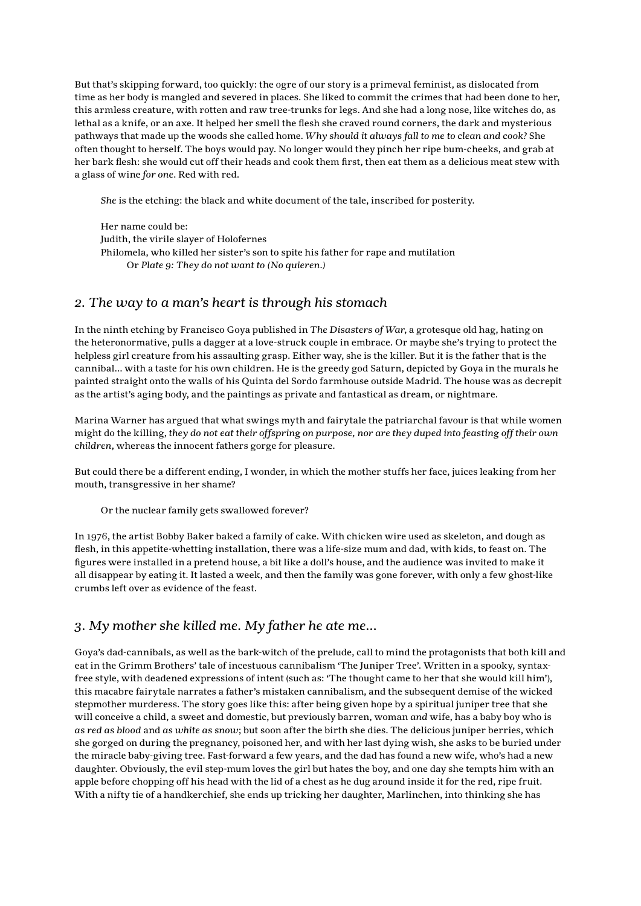But that's skipping forward, too quickly: the ogre of our story is a primeval feminist, as dislocated from time as her body is mangled and severed in places. She liked to commit the crimes that had been done to her, this armless creature, with rotten and raw tree-trunks for legs. And she had a long nose, like witches do, as lethal as a knife, or an axe. It helped her smell the flesh she craved round corners, the dark and mysterious pathways that made up the woods she called home. *Why should it always fall to me to clean and cook?* She often thought to herself. The boys would pay. No longer would they pinch her ripe bum-cheeks, and grab at her bark flesh: she would cut off their heads and cook them first, then eat them as a delicious meat stew with a glass of wine *for one*. Red with red.

*She* is the etching: the black and white document of the tale, inscribed for posterity.

Her name could be: Judith, the virile slayer of Holofernes Philomela, who killed her sister's son to spite his father for rape and mutilation Or *Plate 9: They do not want to (No quieren.)*

#### *2. The way to a man's heart is through his stomach*

In the ninth etching by Francisco Goya published in *The Disasters of War*, a grotesque old hag, hating on the heteronormative, pulls a dagger at a love-struck couple in embrace. Or maybe she's trying to protect the helpless girl creature from his assaulting grasp. Either way, she is the killer. But it is the father that is the cannibal… with a taste for his own children. He is the greedy god Saturn, depicted by Goya in the murals he painted straight onto the walls of his Quinta del Sordo farmhouse outside Madrid. The house was as decrepit as the artist's aging body, and the paintings as private and fantastical as dream, or nightmare.

Marina Warner has argued that what swings myth and fairytale the patriarchal favour is that while women might do the killing, *they do not eat their offspring on purpose, nor are they duped into feasting off their own children*, whereas the innocent fathers gorge for pleasure.

But could there be a different ending, I wonder, in which the mother stuffs her face, juices leaking from her mouth, transgressive in her shame?

Or the nuclear family gets swallowed forever?

In 1976, the artist Bobby Baker baked a family of cake. With chicken wire used as skeleton, and dough as flesh, in this appetite-whetting installation, there was a life-size mum and dad, with kids, to feast on. The figures were installed in a pretend house, a bit like a doll's house, and the audience was invited to make it all disappear by eating it. It lasted a week, and then the family was gone forever, with only a few ghost-like crumbs left over as evidence of the feast.

#### *3. My mother she killed me. My father he ate me…*

Goya's dad-cannibals, as well as the bark-witch of the prelude, call to mind the protagonists that both kill and eat in the Grimm Brothers' tale of incestuous cannibalism 'The Juniper Tree'. Written in a spooky, syntaxfree style, with deadened expressions of intent (such as: 'The thought came to her that she would kill him'), this macabre fairytale narrates a father's mistaken cannibalism, and the subsequent demise of the wicked stepmother murderess. The story goes like this: after being given hope by a spiritual juniper tree that she will conceive a child, a sweet and domestic, but previously barren, woman *and* wife, has a baby boy who is *as red as blood* and *as white as snow*; but soon after the birth she dies. The delicious juniper berries, which she gorged on during the pregnancy, poisoned her, and with her last dying wish, she asks to be buried under the miracle baby-giving tree. Fast-forward a few years, and the dad has found a new wife, who's had a new daughter. Obviously, the evil step-mum loves the girl but hates the boy, and one day she tempts him with an apple before chopping off his head with the lid of a chest as he dug around inside it for the red, ripe fruit. With a nifty tie of a handkerchief, she ends up tricking her daughter, Marlinchen, into thinking she has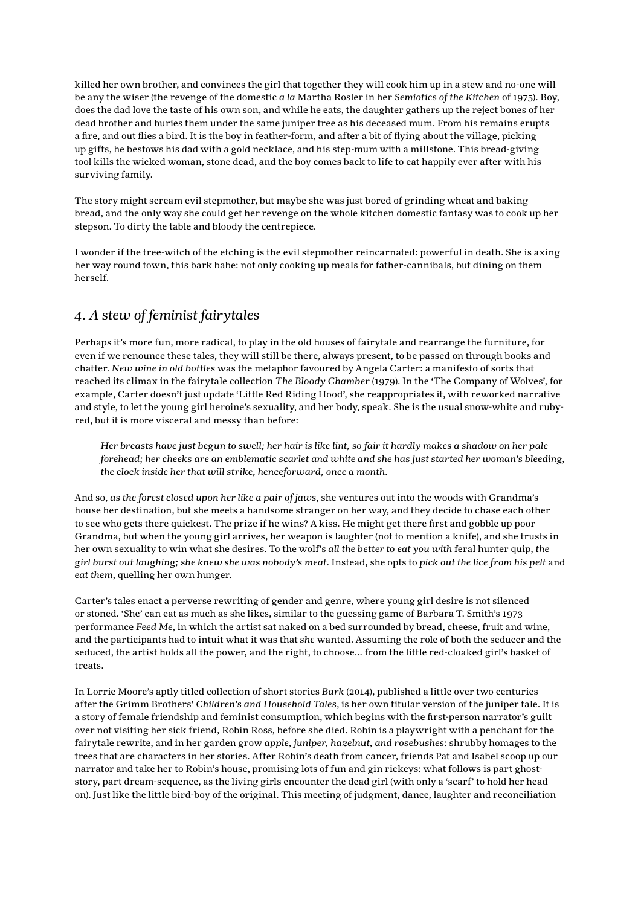killed her own brother, and convinces the girl that together they will cook him up in a stew and no-one will be any the wiser (the revenge of the domestic *a la* Martha Rosler in her *Semiotics of the Kitchen* of 1975). Boy, does the dad love the taste of his own son, and while he eats, the daughter gathers up the reject bones of her dead brother and buries them under the same juniper tree as his deceased mum. From his remains erupts a fire, and out flies a bird. It is the boy in feather-form, and after a bit of flying about the village, picking up gifts, he bestows his dad with a gold necklace, and his step-mum with a millstone. This bread-giving tool kills the wicked woman, stone dead, and the boy comes back to life to eat happily ever after with his surviving family.

The story might scream evil stepmother, but maybe she was just bored of grinding wheat and baking bread, and the only way she could get her revenge on the whole kitchen domestic fantasy was to cook up her stepson. To dirty the table and bloody the centrepiece.

I wonder if the tree-witch of the etching is the evil stepmother reincarnated: powerful in death. She is axing her way round town, this bark babe: not only cooking up meals for father-cannibals, but dining on them herself.

### *4. A stew of feminist fairytales*

Perhaps it's more fun, more radical, to play in the old houses of fairytale and rearrange the furniture, for even if we renounce these tales, they will still be there, always present, to be passed on through books and chatter. *New wine in old bottles* was the metaphor favoured by Angela Carter: a manifesto of sorts that reached its climax in the fairytale collection *The Bloody Chamber* (1979). In the 'The Company of Wolves', for example, Carter doesn't just update 'Little Red Riding Hood', she reappropriates it, with reworked narrative and style, to let the young girl heroine's sexuality, and her body, speak. She is the usual snow-white and rubyred, but it is more visceral and messy than before:

*Her breasts have just begun to swell; her hair is like lint, so fair it hardly makes a shadow on her pale forehead; her cheeks are an emblematic scarlet and white and she has just started her woman's bleeding, the clock inside her that will strike, henceforward, once a month.*

And so, *as the forest closed upon her like a pair of jaws*, she ventures out into the woods with Grandma's house her destination, but she meets a handsome stranger on her way, and they decide to chase each other to see who gets there quickest. The prize if he wins? A kiss. He might get there first and gobble up poor Grandma, but when the young girl arrives, her weapon is laughter (not to mention a knife), and she trusts in her own sexuality to win what she desires. To the wolf's *all the better to eat you with* feral hunter quip, *the girl burst out laughing; she knew she was nobody's meat*. Instead, she opts to *pick out the lice from his pelt* and *eat them*, quelling her own hunger.

Carter's tales enact a perverse rewriting of gender and genre, where young girl desire is not silenced or stoned. 'She' can eat as much as she likes, similar to the guessing game of Barbara T. Smith's 1973 performance *Feed Me*, in which the artist sat naked on a bed surrounded by bread, cheese, fruit and wine, and the participants had to intuit what it was that *she* wanted. Assuming the role of both the seducer and the seduced, the artist holds all the power, and the right, to choose… from the little red-cloaked girl's basket of treats.

In Lorrie Moore's aptly titled collection of short stories *Bark* (2014), published a little over two centuries after the Grimm Brothers' *Children's and Household Tales*, is her own titular version of the juniper tale. It is a story of female friendship and feminist consumption, which begins with the first-person narrator's guilt over not visiting her sick friend, Robin Ross, before she died. Robin is a playwright with a penchant for the fairytale rewrite, and in her garden grow *apple, juniper, hazelnut, and rosebushes*: shrubby homages to the trees that are characters in her stories. After Robin's death from cancer, friends Pat and Isabel scoop up our narrator and take her to Robin's house, promising lots of fun and gin rickeys: what follows is part ghoststory, part dream-sequence, as the living girls encounter the dead girl (with only a 'scarf' to hold her head on). Just like the little bird-boy of the original. This meeting of judgment, dance, laughter and reconciliation